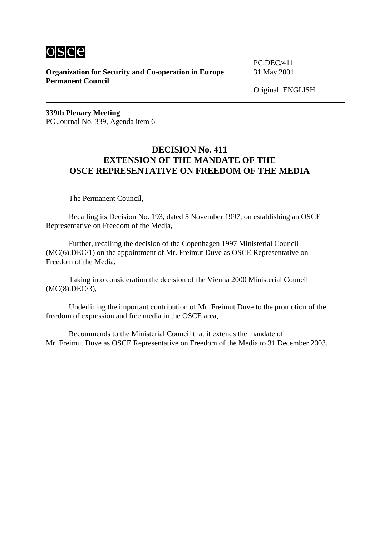

**Organization for Security and Co-operation in Europe** 31 May 2001 **Permanent Council** 

PC.DEC/411

**339th Plenary Meeting**  PC Journal No. 339, Agenda item 6

## **DECISION No. 411 EXTENSION OF THE MANDATE OF THE OSCE REPRESENTATIVE ON FREEDOM OF THE MEDIA**

The Permanent Council,

 Recalling its Decision No. 193, dated 5 November 1997, on establishing an OSCE Representative on Freedom of the Media,

 Further, recalling the decision of the Copenhagen 1997 Ministerial Council (MC(6).DEC/1) on the appointment of Mr. Freimut Duve as OSCE Representative on Freedom of the Media,

 Taking into consideration the decision of the Vienna 2000 Ministerial Council (MC(8).DEC/3),

 Underlining the important contribution of Mr. Freimut Duve to the promotion of the freedom of expression and free media in the OSCE area,

 Recommends to the Ministerial Council that it extends the mandate of Mr. Freimut Duve as OSCE Representative on Freedom of the Media to 31 December 2003.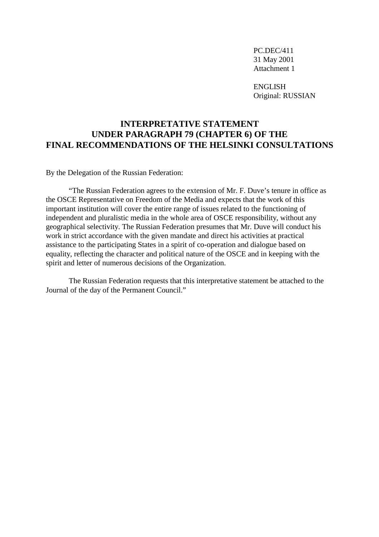PC.DEC/411 31 May 2001 Attachment 1

 ENGLISH Original: RUSSIAN

## **INTERPRETATIVE STATEMENT UNDER PARAGRAPH 79 (CHAPTER 6) OF THE FINAL RECOMMENDATIONS OF THE HELSINKI CONSULTATIONS**

By the Delegation of the Russian Federation:

 "The Russian Federation agrees to the extension of Mr. F. Duve's tenure in office as the OSCE Representative on Freedom of the Media and expects that the work of this important institution will cover the entire range of issues related to the functioning of independent and pluralistic media in the whole area of OSCE responsibility, without any geographical selectivity. The Russian Federation presumes that Mr. Duve will conduct his work in strict accordance with the given mandate and direct his activities at practical assistance to the participating States in a spirit of co-operation and dialogue based on equality, reflecting the character and political nature of the OSCE and in keeping with the spirit and letter of numerous decisions of the Organization.

 The Russian Federation requests that this interpretative statement be attached to the Journal of the day of the Permanent Council."